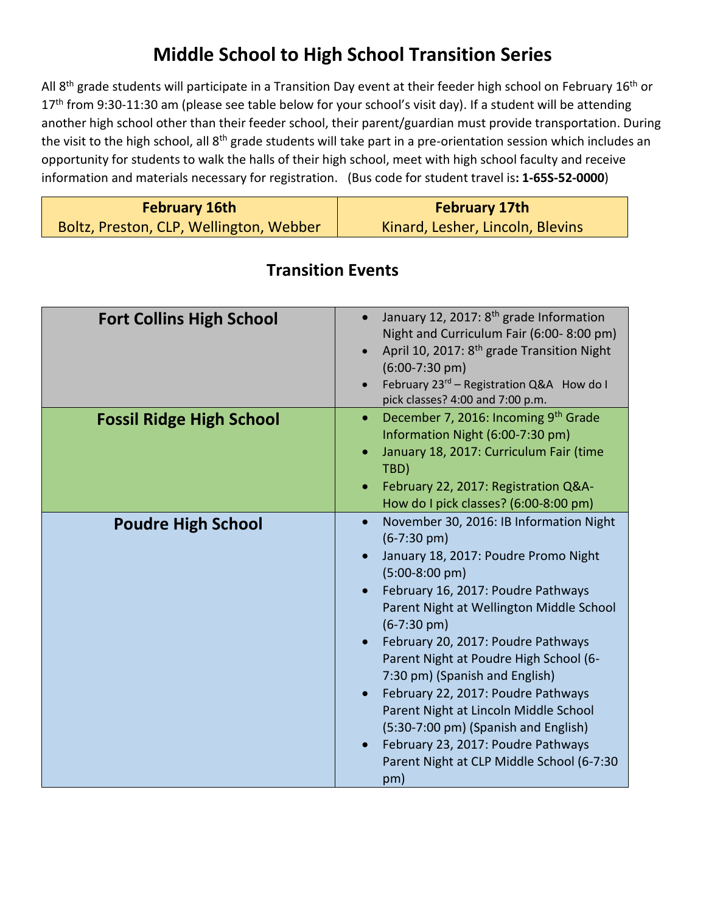## **Middle School to High School Transition Series**

All 8<sup>th</sup> grade students will participate in a Transition Day event at their feeder high school on February 16<sup>th</sup> or 17<sup>th</sup> from 9:30-11:30 am (please see table below for your school's visit day). If a student will be attending another high school other than their feeder school, their parent/guardian must provide transportation. During the visit to the high school, all 8<sup>th</sup> grade students will take part in a pre-orientation session which includes an opportunity for students to walk the halls of their high school, meet with high school faculty and receive information and materials necessary for registration. (Bus code for student travel is**: 1-65S-52-0000**)

| <b>February 16th</b>                    | <b>February 17th</b>             |
|-----------------------------------------|----------------------------------|
| Boltz, Preston, CLP, Wellington, Webber | Kinard, Lesher, Lincoln, Blevins |

| <b>Fort Collins High School</b> | January 12, 2017: 8 <sup>th</sup> grade Information<br>Night and Curriculum Fair (6:00-8:00 pm)<br>April 10, 2017: 8 <sup>th</sup> grade Transition Night<br>$(6:00-7:30 \text{ pm})$<br>February 23 <sup>rd</sup> - Registration Q&A How do I<br>pick classes? 4:00 and 7:00 p.m.                                                                                                                                                                                                                                                                                                      |
|---------------------------------|-----------------------------------------------------------------------------------------------------------------------------------------------------------------------------------------------------------------------------------------------------------------------------------------------------------------------------------------------------------------------------------------------------------------------------------------------------------------------------------------------------------------------------------------------------------------------------------------|
| <b>Fossil Ridge High School</b> | December 7, 2016: Incoming 9th Grade<br>$\bullet$<br>Information Night (6:00-7:30 pm)<br>January 18, 2017: Curriculum Fair (time<br>TBD)<br>February 22, 2017: Registration Q&A-<br>How do I pick classes? (6:00-8:00 pm)                                                                                                                                                                                                                                                                                                                                                               |
| <b>Poudre High School</b>       | November 30, 2016: IB Information Night<br>$\bullet$<br>$(6-7:30 \text{ pm})$<br>January 18, 2017: Poudre Promo Night<br>$(5:00-8:00$ pm)<br>February 16, 2017: Poudre Pathways<br>Parent Night at Wellington Middle School<br>$(6-7:30 \text{ pm})$<br>February 20, 2017: Poudre Pathways<br>Parent Night at Poudre High School (6-<br>7:30 pm) (Spanish and English)<br>February 22, 2017: Poudre Pathways<br>Parent Night at Lincoln Middle School<br>(5:30-7:00 pm) (Spanish and English)<br>February 23, 2017: Poudre Pathways<br>Parent Night at CLP Middle School (6-7:30<br>pm) |

## **Transition Events**